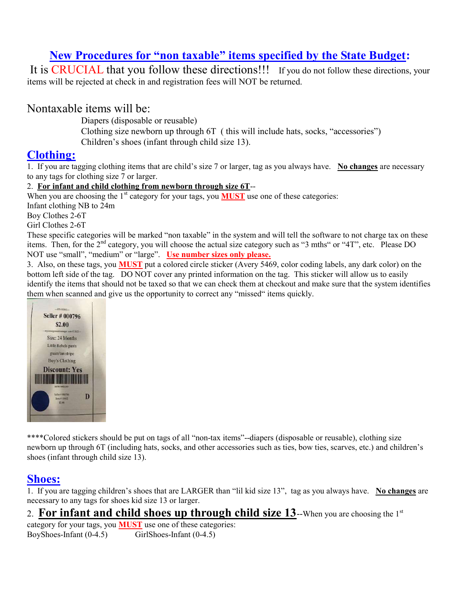# New Procedures for "non taxable" items specified by the State Budget:

It is CRUCIAL that you follow these directions!!! If you do not follow these directions, your items will be rejected at check in and registration fees will NOT be returned.

## Nontaxable items will be:

Diapers (disposable or reusable)

 Clothing size newborn up through 6T ( this will include hats, socks, "accessories") Children's shoes (infant through child size 13).

### Clothing:

1. If you are tagging clothing items that are child's size 7 or larger, tag as you always have. No changes are necessary to any tags for clothing size 7 or larger.

#### 2. For infant and child clothing from newborn through size 6T--

When you are choosing the  $1<sup>st</sup>$  category for your tags, you **MUST** use one of these categories:

Infant clothing NB to 24m

Boy Clothes 2-6T

Girl Clothes 2-6T

These specific categories will be marked "non taxable" in the system and will tell the software to not charge tax on these items. Then, for the 2<sup>nd</sup> category, you will choose the actual size category such as "3 mths" or "4T", etc. Please DO NOT use "small", "medium" or "large". Use number sizes only please.

3. Also, on these tags, you MUST put a colored circle sticker (Avery 5469, color coding labels, any dark color) on the bottom left side of the tag. DO NOT cover any printed information on the tag. This sticker will allow us to easily identify the items that should not be taxed so that we can check them at checkout and make sure that the system identifies them when scanned and give us the opportunity to correct any "missed" items quickly.



\*\*\*\*Colored stickers should be put on tags of all "non-tax items"--diapers (disposable or reusable), clothing size newborn up through 6T (including hats, socks, and other accessories such as ties, bow ties, scarves, etc.) and children's shoes (infant through child size 13).

# Shoes:

1. If you are tagging children's shoes that are LARGER than "lil kid size 13", tag as you always have. No changes are necessary to any tags for shoes kid size 13 or larger.

# 2. For infant and child shoes up through child size 13--When you are choosing the  $1^{st}$

category for your tags, you MUST use one of these categories: BoyShoes-Infant (0-4.5) GirlShoes-Infant (0-4.5)